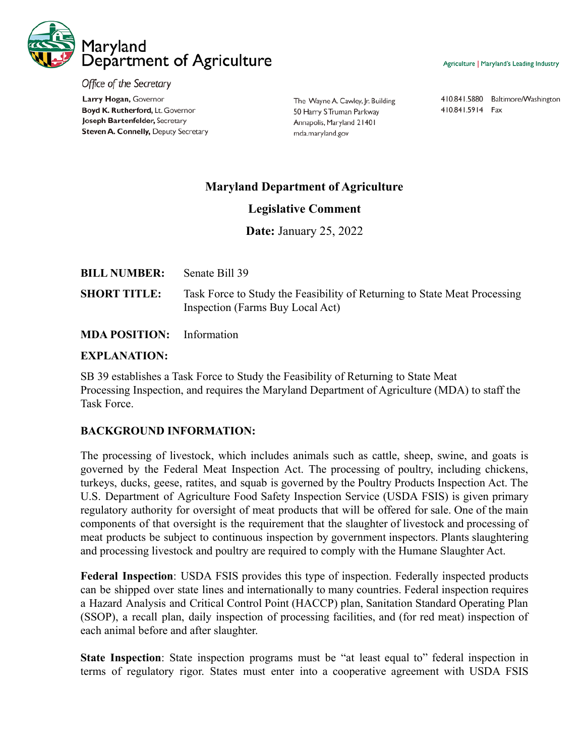

Office of the Secretary Larry Hogan, Governor Boyd K. Rutherford, Lt. Governor Joseph Bartenfelder, Secretary Steven A. Connelly, Deputy Secretary

The Wayne A. Cawley, Jr. Building 50 Harry S Truman Parkway Annapolis, Maryland 21401 mda.maryland.gov

410.841.5880 Baltimore/Washington 410.841.5914 Fax

# **Maryland Department of Agriculture**

### **Legislative Comment**

**Date:** January 25, 2022

| <b>BILL NUMBER:</b> | Senate Bill 39                                                                                                |
|---------------------|---------------------------------------------------------------------------------------------------------------|
| <b>SHORT TITLE:</b> | Task Force to Study the Feasibility of Returning to State Meat Processing<br>Inspection (Farms Buy Local Act) |

## **MDA POSITION:** Information

#### **EXPLANATION:**

SB 39 establishes a Task Force to Study the Feasibility of Returning to State Meat Processing Inspection, and requires the Maryland Department of Agriculture (MDA) to staff the Task Force.

#### **BACKGROUND INFORMATION:**

The processing of livestock, which includes animals such as cattle, sheep, swine, and goats is governed by the Federal Meat Inspection Act. The processing of poultry, including chickens, turkeys, ducks, geese, ratites, and squab is governed by the Poultry Products Inspection Act. The U.S. Department of Agriculture Food Safety Inspection Service (USDA FSIS) is given primary regulatory authority for oversight of meat products that will be offered for sale. One of the main components of that oversight is the requirement that the slaughter of livestock and processing of meat products be subject to continuous inspection by government inspectors. Plants slaughtering and processing livestock and poultry are required to comply with the Humane Slaughter Act.

**Federal Inspection**: USDA FSIS provides this type of inspection. Federally inspected products can be shipped over state lines and internationally to many countries. Federal inspection requires a Hazard Analysis and Critical Control Point (HACCP) plan, Sanitation Standard Operating Plan (SSOP), a recall plan, daily inspection of processing facilities, and (for red meat) inspection of each animal before and after slaughter.

**State Inspection**: State inspection programs must be "at least equal to" federal inspection in terms of regulatory rigor. States must enter into a cooperative agreement with USDA FSIS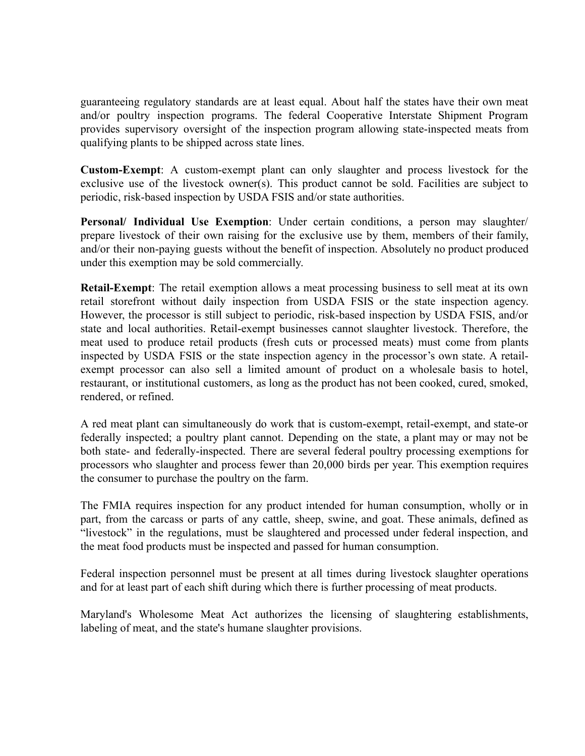guaranteeing regulatory standards are at least equal. About half the states have their own meat and/or poultry inspection programs. The federal Cooperative Interstate Shipment Program provides supervisory oversight of the inspection program allowing state-inspected meats from qualifying plants to be shipped across state lines.

**Custom-Exempt**: A custom-exempt plant can only slaughter and process livestock for the exclusive use of the livestock owner(s). This product cannot be sold. Facilities are subject to periodic, risk-based inspection by USDA FSIS and/or state authorities.

**Personal/ Individual Use Exemption**: Under certain conditions, a person may slaughter/ prepare livestock of their own raising for the exclusive use by them, members of their family, and/or their non-paying guests without the benefit of inspection. Absolutely no product produced under this exemption may be sold commercially.

**Retail-Exempt**: The retail exemption allows a meat processing business to sell meat at its own retail storefront without daily inspection from USDA FSIS or the state inspection agency. However, the processor is still subject to periodic, risk-based inspection by USDA FSIS, and/or state and local authorities. Retail-exempt businesses cannot slaughter livestock. Therefore, the meat used to produce retail products (fresh cuts or processed meats) must come from plants inspected by USDA FSIS or the state inspection agency in the processor's own state. A retailexempt processor can also sell a limited amount of product on a wholesale basis to hotel, restaurant, or institutional customers, as long as the product has not been cooked, cured, smoked, rendered, or refined.

A red meat plant can simultaneously do work that is custom-exempt, retail-exempt, and state-or federally inspected; a poultry plant cannot. Depending on the state, a plant may or may not be both state- and federally-inspected. There are several federal poultry processing exemptions for processors who slaughter and process fewer than 20,000 birds per year. This exemption requires the consumer to purchase the poultry on the farm.

The FMIA requires inspection for any product intended for human consumption, wholly or in part, from the carcass or parts of any cattle, sheep, swine, and goat. These animals, defined as "livestock" in the regulations, must be slaughtered and processed under federal inspection, and the meat food products must be inspected and passed for human consumption.

Federal inspection personnel must be present at all times during livestock slaughter operations and for at least part of each shift during which there is further processing of meat products.

Maryland's Wholesome Meat Act authorizes the licensing of slaughtering establishments, labeling of meat, and the state's humane slaughter provisions.